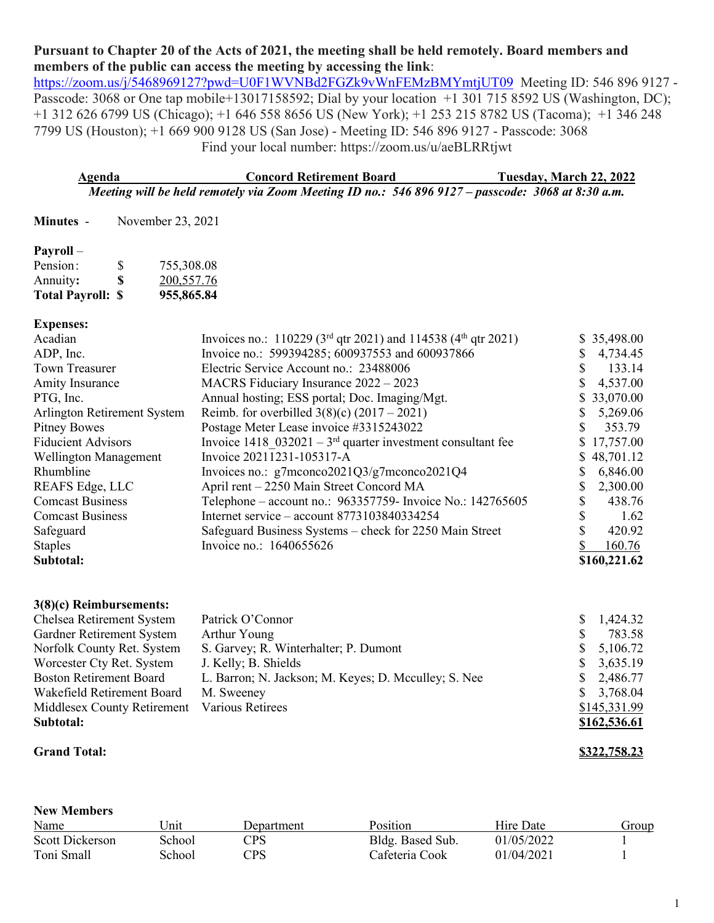# **Pursuant to Chapter 20 of the Acts of 2021, the meeting shall be held remotely. Board members and members of the public can access the meeting by accessing the link**:

<https://zoom.us/j/5468969127?pwd=U0F1WVNBd2FGZk9vWnFEMzBMYmtjUT09>Meeting ID: 546 896 9127 -Passcode: 3068 or One tap mobile+13017158592; Dial by your location +1 301 715 8592 US (Washington, DC); +1 312 626 6799 US (Chicago); +1 646 558 8656 US (New York); +1 253 215 8782 US (Tacoma); +1 346 248 7799 US (Houston); +1 669 900 9128 US (San Jose) - Meeting ID: 546 896 9127 - Passcode: 3068 Find your local number: https://zoom.us/u/aeBLRRtjwt

| Agenda | <b>Concord Retirement Board</b>                                                                   | Tuesday, March 22, 2022 |
|--------|---------------------------------------------------------------------------------------------------|-------------------------|
|        | Meeting will be held remotely via Zoom Meeting ID no.: 546 896 9127 – passcode: 3068 at 8:30 a.m. |                         |

**Minutes** - November 23, 2021

### **Payroll** –

| <b>Total Payroll: \$</b> |    | 955,865.84 |
|--------------------------|----|------------|
| Annuity:                 | S. | 200,557.76 |
| Pension:                 | S  | 755,308.08 |

#### **Expenses:**

|                                                                  |                                                                     | \$35,498.00  |
|------------------------------------------------------------------|---------------------------------------------------------------------|--------------|
| Invoice no.: 599394285; 600937553 and 600937866                  |                                                                     | 4,734.45     |
| Electric Service Account no.: 23488006                           |                                                                     | 133.14       |
| MACRS Fiduciary Insurance 2022 - 2023                            |                                                                     | 4,537.00     |
| Annual hosting; ESS portal; Doc. Imaging/Mgt.                    |                                                                     | \$33,070.00  |
| Reimb. for overbilled $3(8)(c) (2017 – 2021)$                    |                                                                     | 5,269.06     |
| Postage Meter Lease invoice #3315243022                          |                                                                     | 353.79       |
| Invoice 1418 $032021 - 3^{rd}$ quarter investment consultant fee |                                                                     | \$17,757.00  |
| Invoice 20211231-105317-A                                        |                                                                     | \$48,701.12  |
| Invoices no.: g7mconco2021Q3/g7mconco2021Q4                      |                                                                     | 6,846.00     |
| April rent – 2250 Main Street Concord MA                         |                                                                     | 2,300.00     |
| Telephone – account no.: 963357759- Invoice No.: 142765605       |                                                                     | 438.76       |
| Internet service – account $8773103840334254$                    |                                                                     | 1.62         |
| Safeguard Business Systems - check for 2250 Main Street          |                                                                     | 420.92       |
| Invoice no.: 1640655626                                          |                                                                     | 160.76       |
|                                                                  |                                                                     | \$160,221.62 |
|                                                                  | Invoices no.: 110229 ( $3rd$ qtr 2021) and 114538 ( $4th$ qtr 2021) |              |

## **3(8)(c) Reimbursements:**

| Chelsea Retirement System                    | Patrick O'Connor                                     | S. | 1,424.32     |
|----------------------------------------------|------------------------------------------------------|----|--------------|
| Gardner Retirement System                    | Arthur Young                                         |    | 783.58       |
| Norfolk County Ret. System                   | S. Garvey; R. Winterhalter; P. Dumont                | S. | 5,106.72     |
| Worcester Cty Ret. System                    | J. Kelly; B. Shields                                 |    | \$3,635.19   |
| <b>Boston Retirement Board</b>               | L. Barron; N. Jackson; M. Keyes; D. Mcculley; S. Nee |    | \$2,486.77   |
| Wakefield Retirement Board                   | M. Sweeney                                           |    | \$3,768.04   |
| Middlesex County Retirement Various Retirees |                                                      |    | \$145,331.99 |
| Subtotal:                                    |                                                      |    | \$162,536.61 |
|                                              |                                                      |    |              |

**New Members**

#### **Grand Total: \$322,758.23**

| New Members     |        |                         |                  |            |       |
|-----------------|--------|-------------------------|------------------|------------|-------|
| Name            | Jnit   | Department              | <b>Position</b>  | Hire Date  | Group |
| Scott Dickerson | School | $\mathbb{C}\mathsf{PS}$ | Bldg. Based Sub. | 01/05/2022 |       |
| Toni Small      | School | PS                      | Cafeteria Cook   | 01/04/2021 |       |